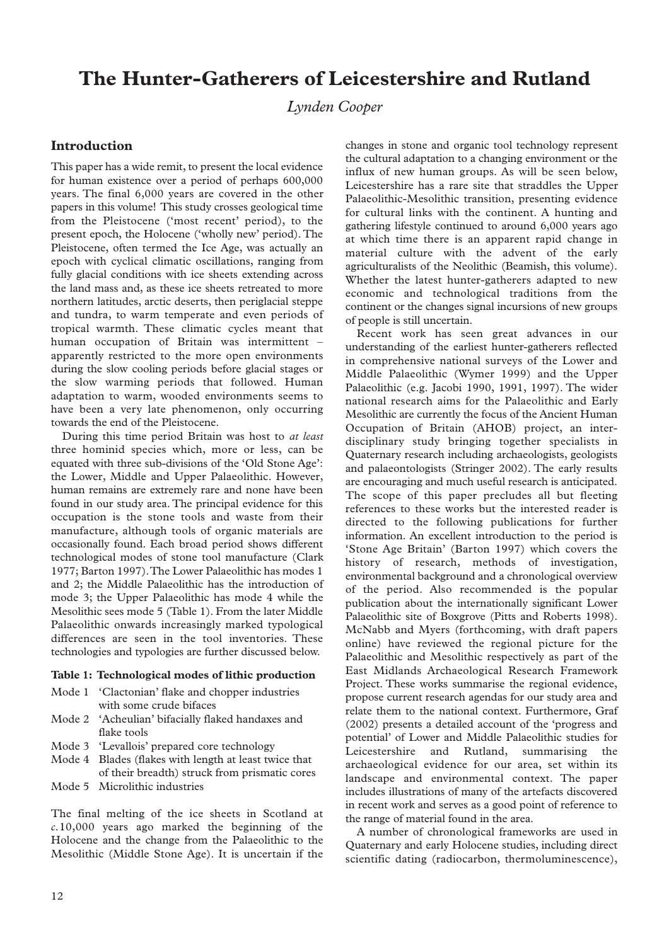# **The Hunter-Gatherers of Leicestershire and Rutland**

*Lynden Cooper*

# **Introduction**

This paper has a wide remit, to present the local evidence for human existence over a period of perhaps 600,000 years. The final 6,000 years are covered in the other papers in this volume! This study crosses geological time from the Pleistocene ('most recent' period), to the present epoch, the Holocene ('wholly new' period). The Pleistocene, often termed the Ice Age, was actually an epoch with cyclical climatic oscillations, ranging from fully glacial conditions with ice sheets extending across the land mass and, as these ice sheets retreated to more northern latitudes, arctic deserts, then periglacial steppe and tundra, to warm temperate and even periods of tropical warmth. These climatic cycles meant that human occupation of Britain was intermittent – apparently restricted to the more open environments during the slow cooling periods before glacial stages or the slow warming periods that followed. Human adaptation to warm, wooded environments seems to have been a very late phenomenon, only occurring towards the end of the Pleistocene.

During this time period Britain was host to *at least* three hominid species which, more or less, can be equated with three sub-divisions of the 'Old Stone Age': the Lower, Middle and Upper Palaeolithic. However, human remains are extremely rare and none have been found in our study area. The principal evidence for this occupation is the stone tools and waste from their manufacture, although tools of organic materials are occasionally found. Each broad period shows different technological modes of stone tool manufacture (Clark 1977; Barton 1997).The Lower Palaeolithic has modes 1 and 2; the Middle Palaeolithic has the introduction of mode 3; the Upper Palaeolithic has mode 4 while the Mesolithic sees mode 5 (Table 1). From the later Middle Palaeolithic onwards increasingly marked typological differences are seen in the tool inventories. These technologies and typologies are further discussed below.

#### **Table 1: Technological modes of lithic production**

- Mode 1 'Clactonian' flake and chopper industries with some crude bifaces
- Mode 2 'Acheulian' bifacially flaked handaxes and flake tools
- Mode 3 'Levallois' prepared core technology
- Mode 4 Blades (flakes with length at least twice that of their breadth) struck from prismatic cores
- Mode 5 Microlithic industries

The final melting of the ice sheets in Scotland at *c.*10,000 years ago marked the beginning of the Holocene and the change from the Palaeolithic to the Mesolithic (Middle Stone Age). It is uncertain if the

changes in stone and organic tool technology represent the cultural adaptation to a changing environment or the influx of new human groups. As will be seen below, Leicestershire has a rare site that straddles the Upper Palaeolithic-Mesolithic transition, presenting evidence for cultural links with the continent. A hunting and gathering lifestyle continued to around 6,000 years ago at which time there is an apparent rapid change in material culture with the advent of the early agriculturalists of the Neolithic (Beamish, this volume). Whether the latest hunter-gatherers adapted to new economic and technological traditions from the continent or the changes signal incursions of new groups of people is still uncertain.

Recent work has seen great advances in our understanding of the earliest hunter-gatherers reflected in comprehensive national surveys of the Lower and Middle Palaeolithic (Wymer 1999) and the Upper Palaeolithic (e.g. Jacobi 1990, 1991, 1997). The wider national research aims for the Palaeolithic and Early Mesolithic are currently the focus of the Ancient Human Occupation of Britain (AHOB) project, an interdisciplinary study bringing together specialists in Quaternary research including archaeologists, geologists and palaeontologists (Stringer 2002). The early results are encouraging and much useful research is anticipated. The scope of this paper precludes all but fleeting references to these works but the interested reader is directed to the following publications for further information. An excellent introduction to the period is 'Stone Age Britain' (Barton 1997) which covers the history of research, methods of investigation, environmental background and a chronological overview of the period. Also recommended is the popular publication about the internationally significant Lower Palaeolithic site of Boxgrove (Pitts and Roberts 1998). McNabb and Myers (forthcoming, with draft papers online) have reviewed the regional picture for the Palaeolithic and Mesolithic respectively as part of the East Midlands Archaeological Research Framework Project. These works summarise the regional evidence, propose current research agendas for our study area and relate them to the national context. Furthermore, Graf (2002) presents a detailed account of the 'progress and potential' of Lower and Middle Palaeolithic studies for Leicestershire and Rutland, summarising the archaeological evidence for our area, set within its landscape and environmental context. The paper includes illustrations of many of the artefacts discovered in recent work and serves as a good point of reference to the range of material found in the area.

A number of chronological frameworks are used in Quaternary and early Holocene studies, including direct scientific dating (radiocarbon, thermoluminescence),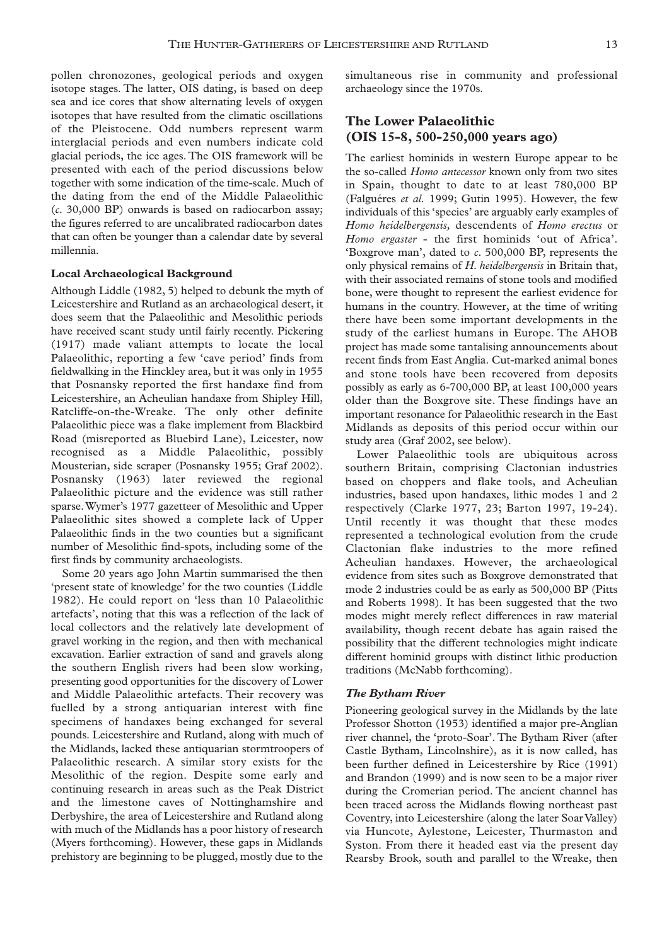pollen chronozones, geological periods and oxygen isotope stages. The latter, OIS dating, is based on deep sea and ice cores that show alternating levels of oxygen isotopes that have resulted from the climatic oscillations of the Pleistocene. Odd numbers represent warm interglacial periods and even numbers indicate cold glacial periods, the ice ages. The OIS framework will be presented with each of the period discussions below together with some indication of the time-scale. Much of the dating from the end of the Middle Palaeolithic (*c.* 30,000 BP) onwards is based on radiocarbon assay; the figures referred to are uncalibrated radiocarbon dates that can often be younger than a calendar date by several millennia.

### **Local Archaeological Background**

Although Liddle (1982, 5) helped to debunk the myth of Leicestershire and Rutland as an archaeological desert, it does seem that the Palaeolithic and Mesolithic periods have received scant study until fairly recently. Pickering (1917) made valiant attempts to locate the local Palaeolithic, reporting a few 'cave period' finds from fieldwalking in the Hinckley area, but it was only in 1955 that Posnansky reported the first handaxe find from Leicestershire, an Acheulian handaxe from Shipley Hill, Ratcliffe-on-the-Wreake. The only other definite Palaeolithic piece was a flake implement from Blackbird Road (misreported as Bluebird Lane), Leicester, now recognised as a Middle Palaeolithic, possibly Mousterian, side scraper (Posnansky 1955; Graf 2002). Posnansky (1963) later reviewed the regional Palaeolithic picture and the evidence was still rather sparse.Wymer's 1977 gazetteer of Mesolithic and Upper Palaeolithic sites showed a complete lack of Upper Palaeolithic finds in the two counties but a significant number of Mesolithic find-spots, including some of the first finds by community archaeologists.

Some 20 years ago John Martin summarised the then 'present state of knowledge' for the two counties (Liddle 1982). He could report on 'less than 10 Palaeolithic artefacts', noting that this was a reflection of the lack of local collectors and the relatively late development of gravel working in the region, and then with mechanical excavation. Earlier extraction of sand and gravels along the southern English rivers had been slow working, presenting good opportunities for the discovery of Lower and Middle Palaeolithic artefacts. Their recovery was fuelled by a strong antiquarian interest with fine specimens of handaxes being exchanged for several pounds. Leicestershire and Rutland, along with much of the Midlands, lacked these antiquarian stormtroopers of Palaeolithic research. A similar story exists for the Mesolithic of the region. Despite some early and continuing research in areas such as the Peak District and the limestone caves of Nottinghamshire and Derbyshire, the area of Leicestershire and Rutland along with much of the Midlands has a poor history of research (Myers forthcoming). However, these gaps in Midlands prehistory are beginning to be plugged, mostly due to the

simultaneous rise in community and professional archaeology since the 1970s.

# **The Lower Palaeolithic (OIS 15-8, 500-250,000 years ago)**

The earliest hominids in western Europe appear to be the so-called *Homo antecessor* known only from two sites in Spain, thought to date to at least 780,000 BP (Falguéres *et al.* 1999; Gutin 1995). However, the few individuals of this 'species' are arguably early examples of *Homo heidelbergensis,* descendents of *Homo erectus* or *Homo ergaster* - the first hominids 'out of Africa'. 'Boxgrove man', dated to *c.* 500,000 BP, represents the only physical remains of *H. heidelbergensis* in Britain that, with their associated remains of stone tools and modified bone, were thought to represent the earliest evidence for humans in the country. However, at the time of writing there have been some important developments in the study of the earliest humans in Europe. The AHOB project has made some tantalising announcements about recent finds from East Anglia. Cut-marked animal bones and stone tools have been recovered from deposits possibly as early as 6-700,000 BP, at least 100,000 years older than the Boxgrove site. These findings have an important resonance for Palaeolithic research in the East Midlands as deposits of this period occur within our study area (Graf 2002, see below).

Lower Palaeolithic tools are ubiquitous across southern Britain, comprising Clactonian industries based on choppers and flake tools, and Acheulian industries, based upon handaxes, lithic modes 1 and 2 respectively (Clarke 1977, 23; Barton 1997, 19-24). Until recently it was thought that these modes represented a technological evolution from the crude Clactonian flake industries to the more refined Acheulian handaxes. However, the archaeological evidence from sites such as Boxgrove demonstrated that mode 2 industries could be as early as 500,000 BP (Pitts and Roberts 1998). It has been suggested that the two modes might merely reflect differences in raw material availability, though recent debate has again raised the possibility that the different technologies might indicate different hominid groups with distinct lithic production traditions (McNabb forthcoming).

### *The Bytham River*

Pioneering geological survey in the Midlands by the late Professor Shotton (1953) identified a major pre-Anglian river channel, the 'proto-Soar'. The Bytham River (after Castle Bytham, Lincolnshire), as it is now called, has been further defined in Leicestershire by Rice (1991) and Brandon (1999) and is now seen to be a major river during the Cromerian period. The ancient channel has been traced across the Midlands flowing northeast past Coventry, into Leicestershire (along the later Soar Valley) via Huncote, Aylestone, Leicester, Thurmaston and Syston. From there it headed east via the present day Rearsby Brook, south and parallel to the Wreake, then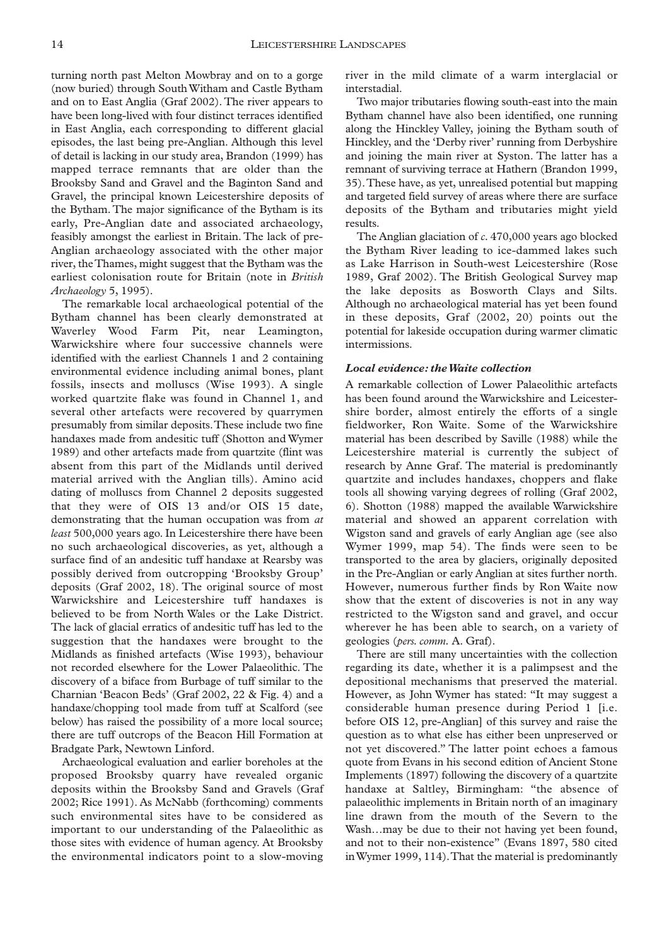turning north past Melton Mowbray and on to a gorge (now buried) through South Witham and Castle Bytham and on to East Anglia (Graf 2002). The river appears to have been long-lived with four distinct terraces identified in East Anglia, each corresponding to different glacial episodes, the last being pre-Anglian. Although this level of detail is lacking in our study area, Brandon (1999) has mapped terrace remnants that are older than the Brooksby Sand and Gravel and the Baginton Sand and Gravel, the principal known Leicestershire deposits of the Bytham. The major significance of the Bytham is its early, Pre-Anglian date and associated archaeology, feasibly amongst the earliest in Britain. The lack of pre-Anglian archaeology associated with the other major river, the Thames, might suggest that the Bytham was the earliest colonisation route for Britain (note in *British Archaeology* 5, 1995).

The remarkable local archaeological potential of the Bytham channel has been clearly demonstrated at Waverley Wood Farm Pit, near Leamington, Warwickshire where four successive channels were identified with the earliest Channels 1 and 2 containing environmental evidence including animal bones, plant fossils, insects and molluscs (Wise 1993). A single worked quartzite flake was found in Channel 1, and several other artefacts were recovered by quarrymen presumably from similar deposits.These include two fine handaxes made from andesitic tuff (Shotton and Wymer 1989) and other artefacts made from quartzite (flint was absent from this part of the Midlands until derived material arrived with the Anglian tills). Amino acid dating of molluscs from Channel 2 deposits suggested that they were of OIS 13 and/or OIS 15 date, demonstrating that the human occupation was from *at least* 500,000 years ago. In Leicestershire there have been no such archaeological discoveries, as yet, although a surface find of an andesitic tuff handaxe at Rearsby was possibly derived from outcropping 'Brooksby Group' deposits (Graf 2002, 18). The original source of most Warwickshire and Leicestershire tuff handaxes is believed to be from North Wales or the Lake District. The lack of glacial erratics of andesitic tuff has led to the suggestion that the handaxes were brought to the Midlands as finished artefacts (Wise 1993), behaviour not recorded elsewhere for the Lower Palaeolithic. The discovery of a biface from Burbage of tuff similar to the Charnian 'Beacon Beds' (Graf 2002, 22 & Fig. 4) and a handaxe/chopping tool made from tuff at Scalford (see below) has raised the possibility of a more local source; there are tuff outcrops of the Beacon Hill Formation at Bradgate Park, Newtown Linford.

Archaeological evaluation and earlier boreholes at the proposed Brooksby quarry have revealed organic deposits within the Brooksby Sand and Gravels (Graf 2002; Rice 1991). As McNabb (forthcoming) comments such environmental sites have to be considered as important to our understanding of the Palaeolithic as those sites with evidence of human agency. At Brooksby the environmental indicators point to a slow-moving

river in the mild climate of a warm interglacial or interstadial.

Two major tributaries flowing south-east into the main Bytham channel have also been identified, one running along the Hinckley Valley, joining the Bytham south of Hinckley, and the 'Derby river' running from Derbyshire and joining the main river at Syston. The latter has a remnant of surviving terrace at Hathern (Brandon 1999, 35).These have, as yet, unrealised potential but mapping and targeted field survey of areas where there are surface deposits of the Bytham and tributaries might yield results.

The Anglian glaciation of *c.* 470,000 years ago blocked the Bytham River leading to ice-dammed lakes such as Lake Harrison in South-west Leicestershire (Rose 1989, Graf 2002). The British Geological Survey map the lake deposits as Bosworth Clays and Silts. Although no archaeological material has yet been found in these deposits, Graf (2002, 20) points out the potential for lakeside occupation during warmer climatic intermissions.

#### *Local evidence: the Waite collection*

A remarkable collection of Lower Palaeolithic artefacts has been found around the Warwickshire and Leicestershire border, almost entirely the efforts of a single fieldworker, Ron Waite. Some of the Warwickshire material has been described by Saville (1988) while the Leicestershire material is currently the subject of research by Anne Graf. The material is predominantly quartzite and includes handaxes, choppers and flake tools all showing varying degrees of rolling (Graf 2002, 6). Shotton (1988) mapped the available Warwickshire material and showed an apparent correlation with Wigston sand and gravels of early Anglian age (see also Wymer 1999, map 54). The finds were seen to be transported to the area by glaciers, originally deposited in the Pre-Anglian or early Anglian at sites further north. However, numerous further finds by Ron Waite now show that the extent of discoveries is not in any way restricted to the Wigston sand and gravel, and occur wherever he has been able to search, on a variety of geologies (*pers. comm.* A. Graf).

There are still many uncertainties with the collection regarding its date, whether it is a palimpsest and the depositional mechanisms that preserved the material. However, as John Wymer has stated: "It may suggest a considerable human presence during Period 1 [i.e. before OIS 12, pre-Anglian] of this survey and raise the question as to what else has either been unpreserved or not yet discovered." The latter point echoes a famous quote from Evans in his second edition of Ancient Stone Implements (1897) following the discovery of a quartzite handaxe at Saltley, Birmingham: "the absence of palaeolithic implements in Britain north of an imaginary line drawn from the mouth of the Severn to the Wash…may be due to their not having yet been found, and not to their non-existence" (Evans 1897, 580 cited in Wymer 1999, 114).That the material is predominantly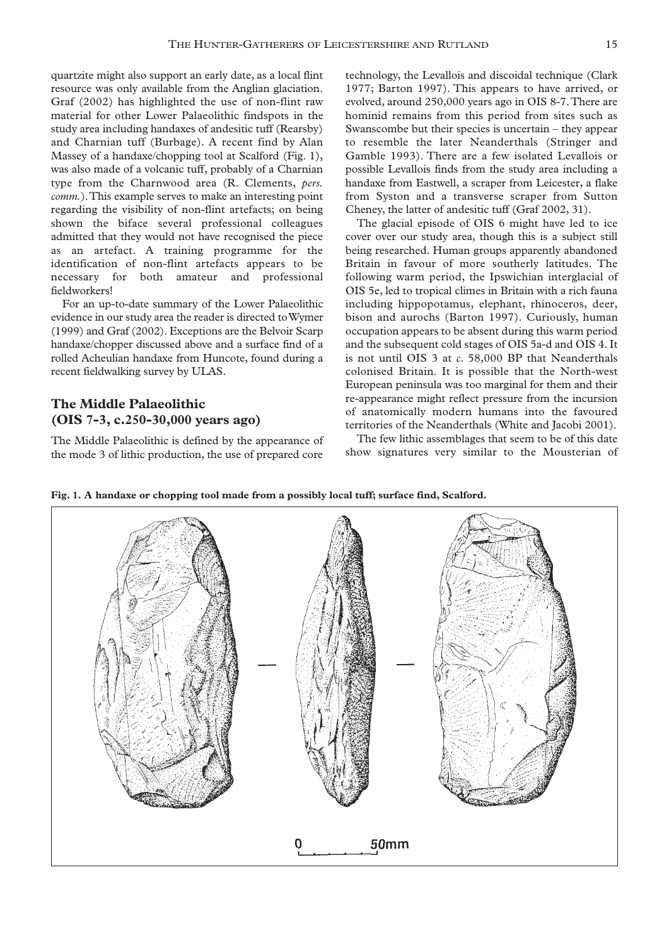quartzite might also support an early date, as a local flint resource was only available from the Anglian glaciation. Graf (2002) has highlighted the use of non-flint raw material for other Lower Palaeolithic findspots in the study area including handaxes of andesitic tuff (Rearsby) and Charnian tuff (Burbage). A recent find by Alan Massey of a handaxe/chopping tool at Scalford (Fig. 1), was also made of a volcanic tuff, probably of a Charnian type from the Charnwood area (R. Clements, *pers. comm.*).This example serves to make an interesting point regarding the visibility of non-flint artefacts; on being shown the biface several professional colleagues admitted that they would not have recognised the piece as an artefact. A training programme for the identification of non-flint artefacts appears to be necessary for both amateur and professional fieldworkers!

For an up-to-date summary of the Lower Palaeolithic evidence in our study area the reader is directed to Wymer (1999) and Graf (2002). Exceptions are the Belvoir Scarp handaxe/chopper discussed above and a surface find of a rolled Acheulian handaxe from Huncote, found during a recent fieldwalking survey by ULAS.

# **The Middle Palaeolithic (OIS 7-3, c.250-30,000 years ago)**

The Middle Palaeolithic is defined by the appearance of the mode 3 of lithic production, the use of prepared core

technology, the Levallois and discoidal technique (Clark 1977; Barton 1997). This appears to have arrived, or evolved, around 250,000 years ago in OIS 8-7.There are hominid remains from this period from sites such as Swanscombe but their species is uncertain – they appear to resemble the later Neanderthals (Stringer and Gamble 1993). There are a few isolated Levallois or possible Levallois finds from the study area including a handaxe from Eastwell, a scraper from Leicester, a flake from Syston and a transverse scraper from Sutton Cheney, the latter of andesitic tuff (Graf 2002, 31).

The glacial episode of OIS 6 might have led to ice cover over our study area, though this is a subject still being researched. Human groups apparently abandoned Britain in favour of more southerly latitudes. The following warm period, the Ipswichian interglacial of OIS 5e, led to tropical climes in Britain with a rich fauna including hippopotamus, elephant, rhinoceros, deer, bison and aurochs (Barton 1997). Curiously, human occupation appears to be absent during this warm period and the subsequent cold stages of OIS 5a-d and OIS 4. It is not until OIS 3 at *c.* 58,000 BP that Neanderthals colonised Britain. It is possible that the North-west European peninsula was too marginal for them and their re-appearance might reflect pressure from the incursion of anatomically modern humans into the favoured territories of the Neanderthals (White and Jacobi 2001).

The few lithic assemblages that seem to be of this date show signatures very similar to the Mousterian of

**Fig. 1. A handaxe or chopping tool made from a possibly local tuff; surface find, Scalford.**

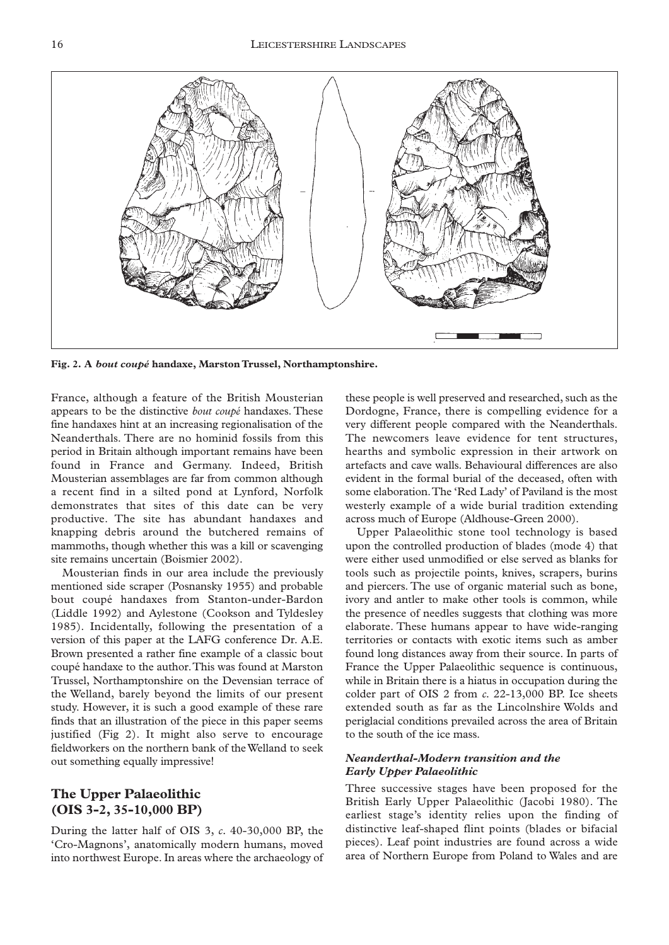

**Fig. 2. A** *bout coupé* **handaxe, Marston Trussel, Northamptonshire.**

France, although a feature of the British Mousterian appears to be the distinctive *bout coupé* handaxes. These fine handaxes hint at an increasing regionalisation of the Neanderthals. There are no hominid fossils from this period in Britain although important remains have been found in France and Germany. Indeed, British Mousterian assemblages are far from common although a recent find in a silted pond at Lynford, Norfolk demonstrates that sites of this date can be very productive. The site has abundant handaxes and knapping debris around the butchered remains of mammoths, though whether this was a kill or scavenging site remains uncertain (Boismier 2002).

Mousterian finds in our area include the previously mentioned side scraper (Posnansky 1955) and probable bout coupé handaxes from Stanton-under-Bardon (Liddle 1992) and Aylestone (Cookson and Tyldesley 1985). Incidentally, following the presentation of a version of this paper at the LAFG conference Dr. A.E. Brown presented a rather fine example of a classic bout coupé handaxe to the author.This was found at Marston Trussel, Northamptonshire on the Devensian terrace of the Welland, barely beyond the limits of our present study. However, it is such a good example of these rare finds that an illustration of the piece in this paper seems justified (Fig 2). It might also serve to encourage fieldworkers on the northern bank of the Welland to seek out something equally impressive!

# **The Upper Palaeolithic (OIS 3-2, 35-10,000 BP)**

During the latter half of OIS 3, *c.* 40-30,000 BP, the 'Cro-Magnons', anatomically modern humans, moved into northwest Europe. In areas where the archaeology of

these people is well preserved and researched, such as the Dordogne, France, there is compelling evidence for a very different people compared with the Neanderthals. The newcomers leave evidence for tent structures, hearths and symbolic expression in their artwork on artefacts and cave walls. Behavioural differences are also evident in the formal burial of the deceased, often with some elaboration.The 'Red Lady' of Paviland is the most westerly example of a wide burial tradition extending across much of Europe (Aldhouse-Green 2000).

Upper Palaeolithic stone tool technology is based upon the controlled production of blades (mode 4) that were either used unmodified or else served as blanks for tools such as projectile points, knives, scrapers, burins and piercers. The use of organic material such as bone, ivory and antler to make other tools is common, while the presence of needles suggests that clothing was more elaborate. These humans appear to have wide-ranging territories or contacts with exotic items such as amber found long distances away from their source. In parts of France the Upper Palaeolithic sequence is continuous, while in Britain there is a hiatus in occupation during the colder part of OIS 2 from *c.* 22-13,000 BP. Ice sheets extended south as far as the Lincolnshire Wolds and periglacial conditions prevailed across the area of Britain to the south of the ice mass.

## *Neanderthal-Modern transition and the Early Upper Palaeolithic*

Three successive stages have been proposed for the British Early Upper Palaeolithic (Jacobi 1980). The earliest stage's identity relies upon the finding of distinctive leaf-shaped flint points (blades or bifacial pieces). Leaf point industries are found across a wide area of Northern Europe from Poland to Wales and are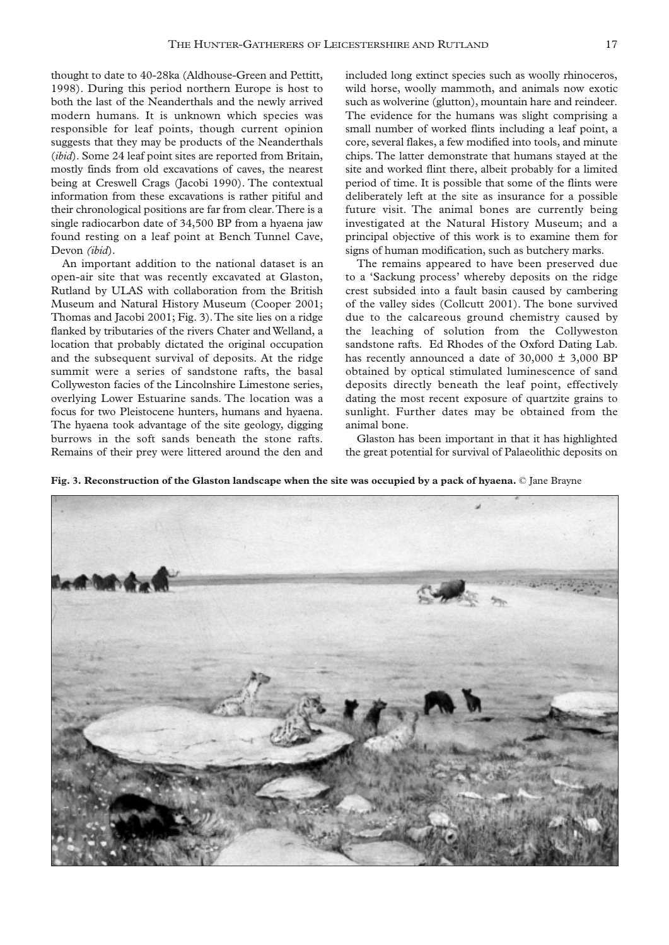thought to date to 40-28ka (Aldhouse-Green and Pettitt, 1998). During this period northern Europe is host to both the last of the Neanderthals and the newly arrived modern humans. It is unknown which species was responsible for leaf points, though current opinion suggests that they may be products of the Neanderthals (*ibid*). Some 24 leaf point sites are reported from Britain, mostly finds from old excavations of caves, the nearest being at Creswell Crags (Jacobi 1990). The contextual information from these excavations is rather pitiful and their chronological positions are far from clear.There is a single radiocarbon date of 34,500 BP from a hyaena jaw found resting on a leaf point at Bench Tunnel Cave, Devon *(ibid*).

An important addition to the national dataset is an open-air site that was recently excavated at Glaston, Rutland by ULAS with collaboration from the British Museum and Natural History Museum (Cooper 2001; Thomas and Jacobi 2001; Fig. 3).The site lies on a ridge flanked by tributaries of the rivers Chater and Welland, a location that probably dictated the original occupation and the subsequent survival of deposits. At the ridge summit were a series of sandstone rafts, the basal Collyweston facies of the Lincolnshire Limestone series, overlying Lower Estuarine sands. The location was a focus for two Pleistocene hunters, humans and hyaena. The hyaena took advantage of the site geology, digging burrows in the soft sands beneath the stone rafts. Remains of their prey were littered around the den and

included long extinct species such as woolly rhinoceros, wild horse, woolly mammoth, and animals now exotic such as wolverine (glutton), mountain hare and reindeer. The evidence for the humans was slight comprising a small number of worked flints including a leaf point, a core, several flakes, a few modified into tools, and minute chips. The latter demonstrate that humans stayed at the site and worked flint there, albeit probably for a limited period of time. It is possible that some of the flints were deliberately left at the site as insurance for a possible future visit. The animal bones are currently being investigated at the Natural History Museum; and a principal objective of this work is to examine them for signs of human modification, such as butchery marks.

The remains appeared to have been preserved due to a 'Sackung process' whereby deposits on the ridge crest subsided into a fault basin caused by cambering of the valley sides (Collcutt 2001). The bone survived due to the calcareous ground chemistry caused by the leaching of solution from the Collyweston sandstone rafts. Ed Rhodes of the Oxford Dating Lab. has recently announced a date of  $30,000 \pm 3,000$  BP obtained by optical stimulated luminescence of sand deposits directly beneath the leaf point, effectively dating the most recent exposure of quartzite grains to sunlight. Further dates may be obtained from the animal bone.

Glaston has been important in that it has highlighted the great potential for survival of Palaeolithic deposits on

**Fig. 3. Reconstruction of the Glaston landscape when the site was occupied by a pack of hyaena.** © Jane Brayne

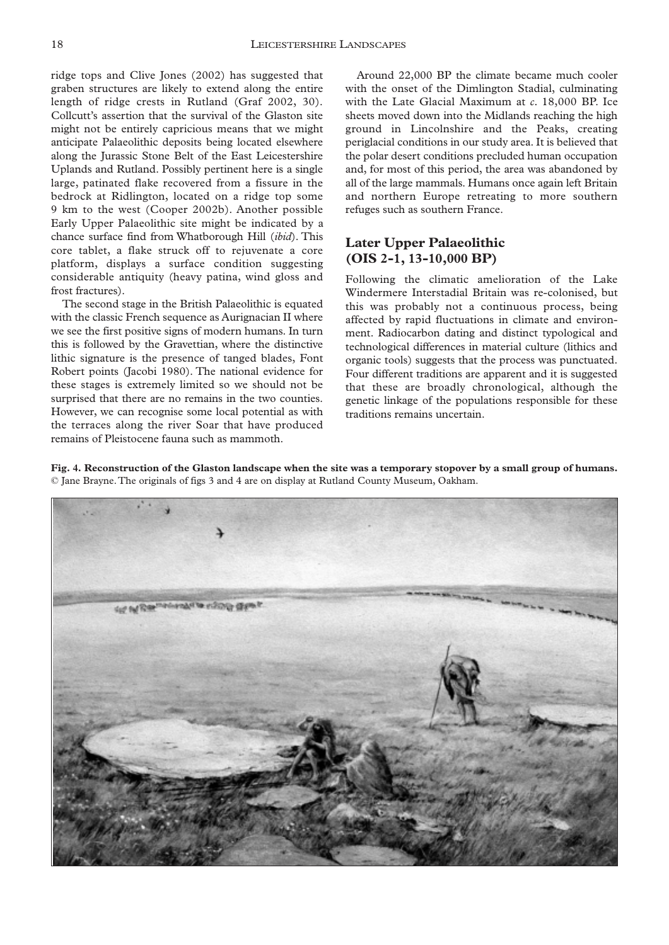ridge tops and Clive Jones (2002) has suggested that graben structures are likely to extend along the entire length of ridge crests in Rutland (Graf 2002, 30). Collcutt's assertion that the survival of the Glaston site might not be entirely capricious means that we might anticipate Palaeolithic deposits being located elsewhere along the Jurassic Stone Belt of the East Leicestershire Uplands and Rutland. Possibly pertinent here is a single large, patinated flake recovered from a fissure in the bedrock at Ridlington, located on a ridge top some 9 km to the west (Cooper 2002b). Another possible Early Upper Palaeolithic site might be indicated by a chance surface find from Whatborough Hill (*ibid*). This core tablet, a flake struck off to rejuvenate a core platform, displays a surface condition suggesting considerable antiquity (heavy patina, wind gloss and frost fractures).

The second stage in the British Palaeolithic is equated with the classic French sequence as Aurignacian II where we see the first positive signs of modern humans. In turn this is followed by the Gravettian, where the distinctive lithic signature is the presence of tanged blades, Font Robert points (Jacobi 1980). The national evidence for these stages is extremely limited so we should not be surprised that there are no remains in the two counties. However, we can recognise some local potential as with the terraces along the river Soar that have produced remains of Pleistocene fauna such as mammoth.

Around 22,000 BP the climate became much cooler with the onset of the Dimlington Stadial, culminating with the Late Glacial Maximum at *c.* 18,000 BP. Ice sheets moved down into the Midlands reaching the high ground in Lincolnshire and the Peaks, creating periglacial conditions in our study area. It is believed that the polar desert conditions precluded human occupation and, for most of this period, the area was abandoned by all of the large mammals. Humans once again left Britain and northern Europe retreating to more southern refuges such as southern France.

# **Later Upper Palaeolithic (OIS 2-1, 13-10,000 BP)**

Following the climatic amelioration of the Lake Windermere Interstadial Britain was re-colonised, but this was probably not a continuous process, being affected by rapid fluctuations in climate and environment. Radiocarbon dating and distinct typological and technological differences in material culture (lithics and organic tools) suggests that the process was punctuated. Four different traditions are apparent and it is suggested that these are broadly chronological, although the genetic linkage of the populations responsible for these traditions remains uncertain.

**Fig. 4. Reconstruction of the Glaston landscape when the site was a temporary stopover by a small group of humans.** © Jane Brayne.The originals of figs 3 and 4 are on display at Rutland County Museum, Oakham.

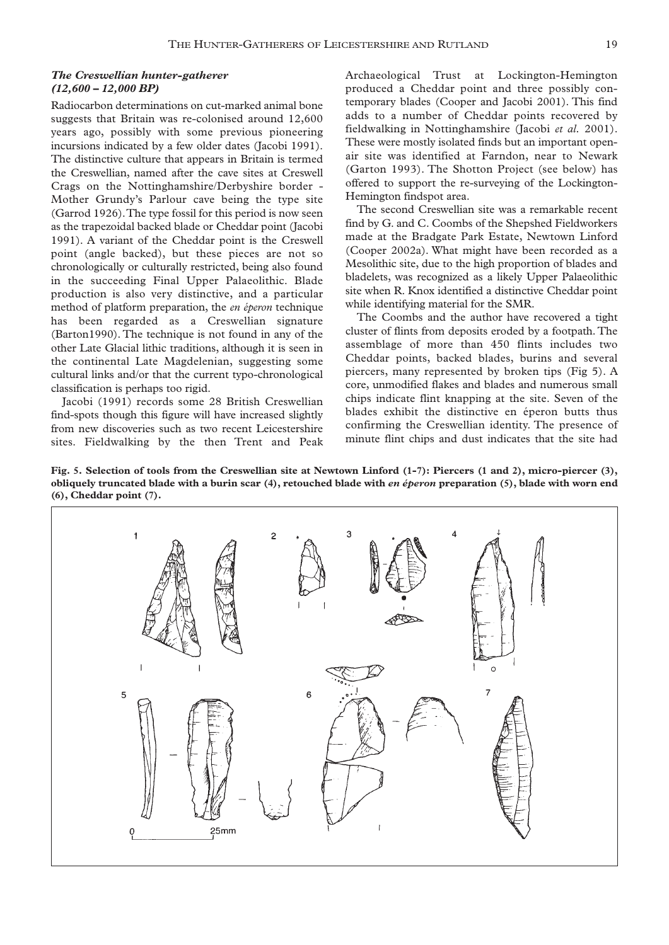### *The Creswellian hunter-gatherer (12,600 – 12,000 BP)*

Radiocarbon determinations on cut-marked animal bone suggests that Britain was re-colonised around 12,600 years ago, possibly with some previous pioneering incursions indicated by a few older dates (Jacobi 1991). The distinctive culture that appears in Britain is termed the Creswellian, named after the cave sites at Creswell Crags on the Nottinghamshire/Derbyshire border - Mother Grundy's Parlour cave being the type site (Garrod 1926).The type fossil for this period is now seen as the trapezoidal backed blade or Cheddar point (Jacobi 1991). A variant of the Cheddar point is the Creswell point (angle backed), but these pieces are not so chronologically or culturally restricted, being also found in the succeeding Final Upper Palaeolithic. Blade production is also very distinctive, and a particular method of platform preparation, the *en éperon* technique has been regarded as a Creswellian signature (Barton1990). The technique is not found in any of the other Late Glacial lithic traditions, although it is seen in the continental Late Magdelenian, suggesting some cultural links and/or that the current typo-chronological classification is perhaps too rigid.

Jacobi (1991) records some 28 British Creswellian find-spots though this figure will have increased slightly from new discoveries such as two recent Leicestershire sites. Fieldwalking by the then Trent and Peak Archaeological Trust at Lockington-Hemington produced a Cheddar point and three possibly contemporary blades (Cooper and Jacobi 2001). This find adds to a number of Cheddar points recovered by fieldwalking in Nottinghamshire (Jacobi *et al.* 2001). These were mostly isolated finds but an important openair site was identified at Farndon, near to Newark (Garton 1993). The Shotton Project (see below) has offered to support the re-surveying of the Lockington-Hemington findspot area.

The second Creswellian site was a remarkable recent find by G. and C. Coombs of the Shepshed Fieldworkers made at the Bradgate Park Estate, Newtown Linford (Cooper 2002a). What might have been recorded as a Mesolithic site, due to the high proportion of blades and bladelets, was recognized as a likely Upper Palaeolithic site when R. Knox identified a distinctive Cheddar point while identifying material for the SMR.

The Coombs and the author have recovered a tight cluster of flints from deposits eroded by a footpath. The assemblage of more than 450 flints includes two Cheddar points, backed blades, burins and several piercers, many represented by broken tips (Fig 5). A core, unmodified flakes and blades and numerous small chips indicate flint knapping at the site. Seven of the blades exhibit the distinctive en éperon butts thus confirming the Creswellian identity. The presence of minute flint chips and dust indicates that the site had

**Fig. 5. Selection of tools from the Creswellian site at Newtown Linford (1-7): Piercers (1 and 2), micro-piercer (3), obliquely truncated blade with a burin scar (4), retouched blade with** *en éperon* **preparation (5), blade with worn end (6), Cheddar point (7).**

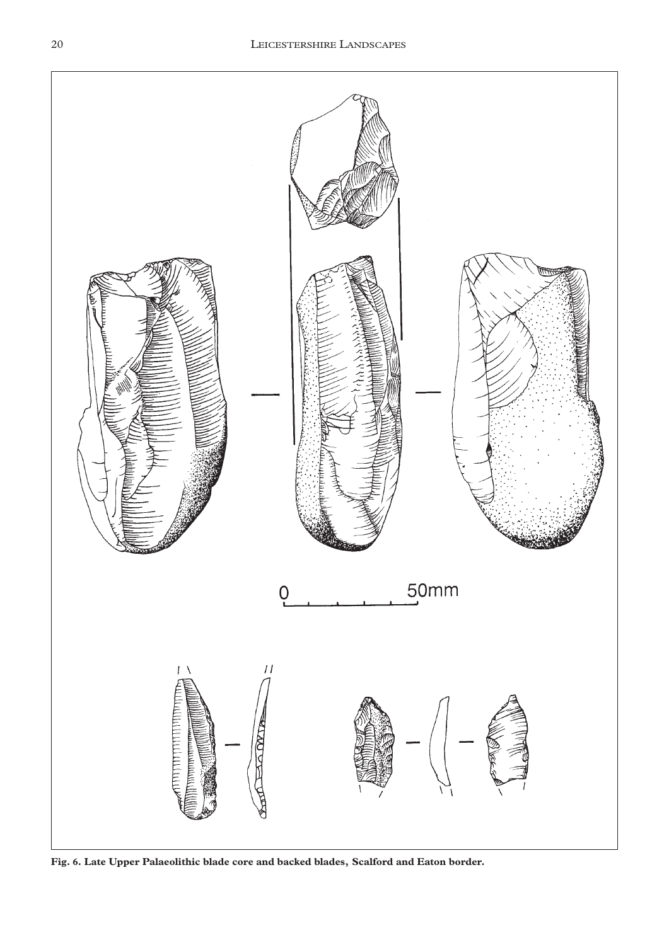

**Fig. 6. Late Upper Palaeolithic blade core and backed blades, Scalford and Eaton border.**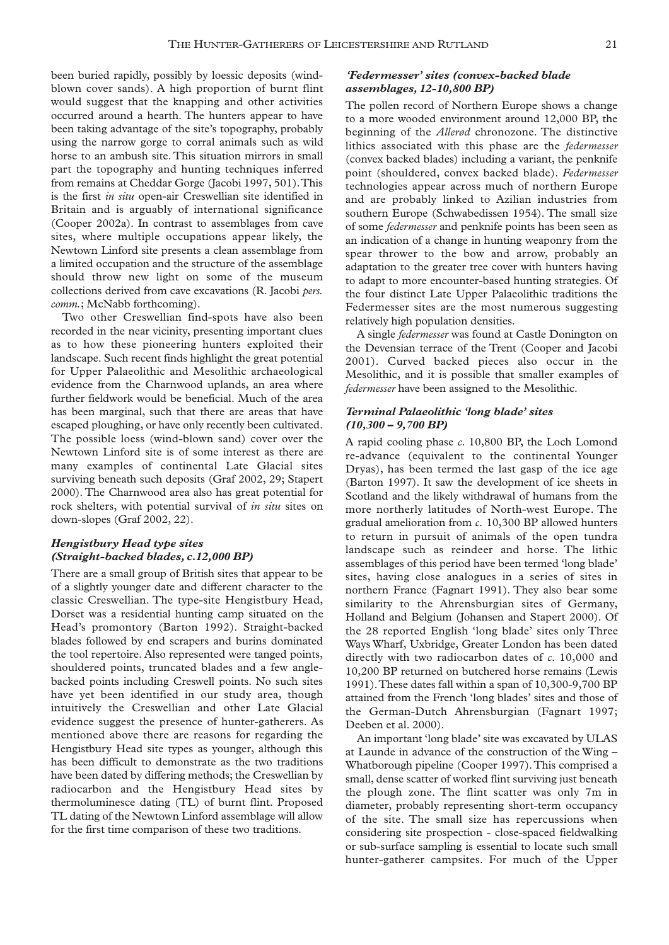been buried rapidly, possibly by loessic deposits (windblown cover sands). A high proportion of burnt flint would suggest that the knapping and other activities occurred around a hearth. The hunters appear to have been taking advantage of the site's topography, probably using the narrow gorge to corral animals such as wild horse to an ambush site. This situation mirrors in small part the topography and hunting techniques inferred from remains at Cheddar Gorge (Jacobi 1997, 501).This is the first *in situ* open-air Creswellian site identified in Britain and is arguably of international significance (Cooper 2002a). In contrast to assemblages from cave sites, where multiple occupations appear likely, the Newtown Linford site presents a clean assemblage from a limited occupation and the structure of the assemblage should throw new light on some of the museum collections derived from cave excavations (R. Jacobi *pers. comm.*; McNabb forthcoming).

Two other Creswellian find-spots have also been recorded in the near vicinity, presenting important clues as to how these pioneering hunters exploited their landscape. Such recent finds highlight the great potential for Upper Palaeolithic and Mesolithic archaeological evidence from the Charnwood uplands, an area where further fieldwork would be beneficial. Much of the area has been marginal, such that there are areas that have escaped ploughing, or have only recently been cultivated. The possible loess (wind-blown sand) cover over the Newtown Linford site is of some interest as there are many examples of continental Late Glacial sites surviving beneath such deposits (Graf 2002, 29; Stapert 2000). The Charnwood area also has great potential for rock shelters, with potential survival of *in situ* sites on down-slopes (Graf 2002, 22).

### *Hengistbury Head type sites (Straight-backed blades, c.12,000 BP)*

There are a small group of British sites that appear to be of a slightly younger date and different character to the classic Creswellian. The type-site Hengistbury Head, Dorset was a residential hunting camp situated on the Head's promontory (Barton 1992). Straight-backed blades followed by end scrapers and burins dominated the tool repertoire. Also represented were tanged points, shouldered points, truncated blades and a few anglebacked points including Creswell points. No such sites have yet been identified in our study area, though intuitively the Creswellian and other Late Glacial evidence suggest the presence of hunter-gatherers. As mentioned above there are reasons for regarding the Hengistbury Head site types as younger, although this has been difficult to demonstrate as the two traditions have been dated by differing methods; the Creswellian by radiocarbon and the Hengistbury Head sites by thermoluminesce dating (TL) of burnt flint. Proposed TL dating of the Newtown Linford assemblage will allow for the first time comparison of these two traditions.

### *'Federmesser' sites (convex-backed blade assemblages, 12-10,800 BP)*

The pollen record of Northern Europe shows a change to a more wooded environment around 12,000 BP, the beginning of the *Allerød* chronozone. The distinctive lithics associated with this phase are the *federmesser* (convex backed blades) including a variant, the penknife point (shouldered, convex backed blade). *Federmesser* technologies appear across much of northern Europe and are probably linked to Azilian industries from southern Europe (Schwabedissen 1954). The small size of some *federmesser* and penknife points has been seen as an indication of a change in hunting weaponry from the spear thrower to the bow and arrow, probably an adaptation to the greater tree cover with hunters having to adapt to more encounter-based hunting strategies. Of the four distinct Late Upper Palaeolithic traditions the Federmesser sites are the most numerous suggesting relatively high population densities.

A single *federmesser* was found at Castle Donington on the Devensian terrace of the Trent (Cooper and Jacobi 2001). Curved backed pieces also occur in the Mesolithic, and it is possible that smaller examples of *federmesser* have been assigned to the Mesolithic.

### *Terminal Palaeolithic 'long blade' sites (10,300 – 9,700 BP)*

A rapid cooling phase *c.* 10,800 BP, the Loch Lomond re-advance (equivalent to the continental Younger Dryas), has been termed the last gasp of the ice age (Barton 1997). It saw the development of ice sheets in Scotland and the likely withdrawal of humans from the more northerly latitudes of North-west Europe. The gradual amelioration from *c.* 10,300 BP allowed hunters to return in pursuit of animals of the open tundra landscape such as reindeer and horse. The lithic assemblages of this period have been termed 'long blade' sites, having close analogues in a series of sites in northern France (Fagnart 1991). They also bear some similarity to the Ahrensburgian sites of Germany, Holland and Belgium (Johansen and Stapert 2000). Of the 28 reported English 'long blade' sites only Three Ways Wharf, Uxbridge, Greater London has been dated directly with two radiocarbon dates of *c.* 10,000 and 10,200 BP returned on butchered horse remains (Lewis 1991).These dates fall within a span of 10,300-9,700 BP attained from the French 'long blades' sites and those of the German-Dutch Ahrensburgian (Fagnart 1997; Deeben et al. 2000).

An important 'long blade' site was excavated by ULAS at Launde in advance of the construction of the Wing – Whatborough pipeline (Cooper 1997).This comprised a small, dense scatter of worked flint surviving just beneath the plough zone. The flint scatter was only 7m in diameter, probably representing short-term occupancy of the site. The small size has repercussions when considering site prospection - close-spaced fieldwalking or sub-surface sampling is essential to locate such small hunter-gatherer campsites. For much of the Upper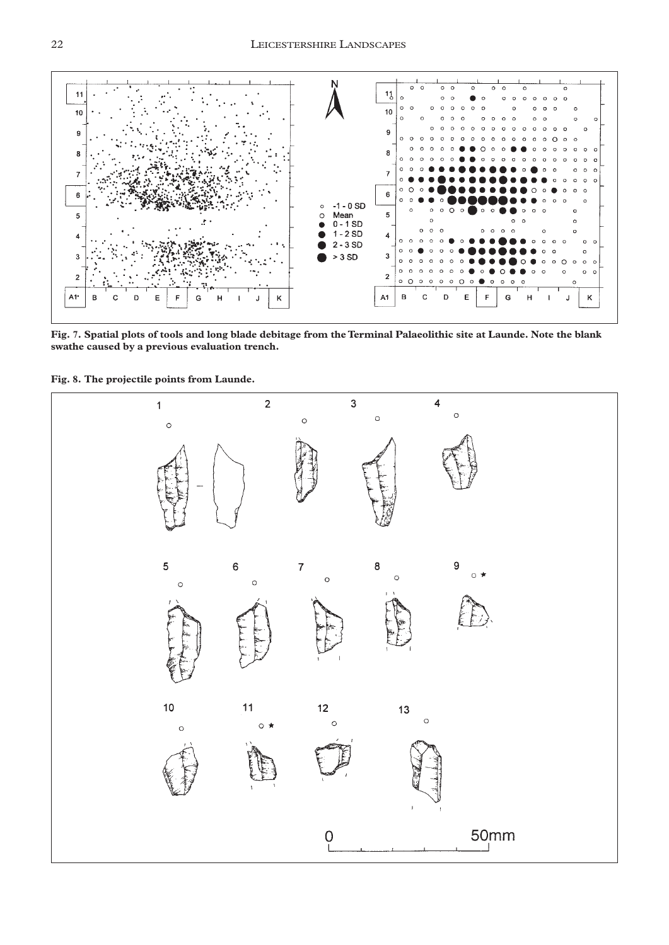

**Fig. 7. Spatial plots of tools and long blade debitage from the Terminal Palaeolithic site at Launde. Note the blank swathe caused by a previous evaluation trench.**

**Fig. 8. The projectile points from Launde.**

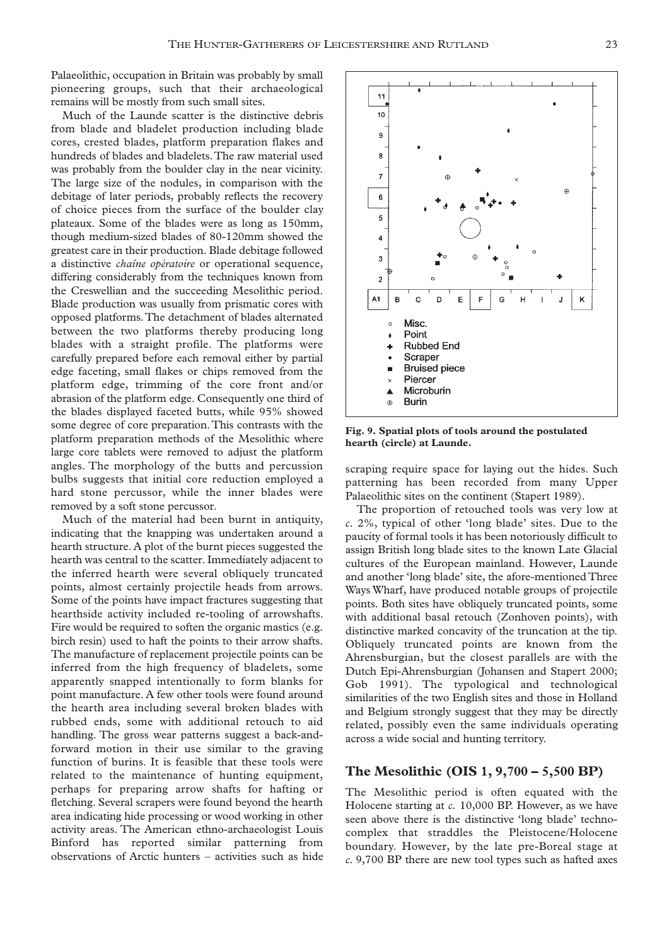Palaeolithic, occupation in Britain was probably by small pioneering groups, such that their archaeological remains will be mostly from such small sites.

Much of the Launde scatter is the distinctive debris from blade and bladelet production including blade cores, crested blades, platform preparation flakes and hundreds of blades and bladelets.The raw material used was probably from the boulder clay in the near vicinity. The large size of the nodules, in comparison with the debitage of later periods, probably reflects the recovery of choice pieces from the surface of the boulder clay plateaux. Some of the blades were as long as 150mm, though medium-sized blades of 80-120mm showed the greatest care in their production. Blade debitage followed a distinctive *chaîne opératoire* or operational sequence, differing considerably from the techniques known from the Creswellian and the succeeding Mesolithic period. Blade production was usually from prismatic cores with opposed platforms.The detachment of blades alternated between the two platforms thereby producing long blades with a straight profile. The platforms were carefully prepared before each removal either by partial edge faceting, small flakes or chips removed from the platform edge, trimming of the core front and/or abrasion of the platform edge. Consequently one third of the blades displayed faceted butts, while 95% showed some degree of core preparation.This contrasts with the platform preparation methods of the Mesolithic where large core tablets were removed to adjust the platform angles. The morphology of the butts and percussion bulbs suggests that initial core reduction employed a hard stone percussor, while the inner blades were removed by a soft stone percussor.

Much of the material had been burnt in antiquity, indicating that the knapping was undertaken around a hearth structure. A plot of the burnt pieces suggested the hearth was central to the scatter. Immediately adjacent to the inferred hearth were several obliquely truncated points, almost certainly projectile heads from arrows. Some of the points have impact fractures suggesting that hearthside activity included re-tooling of arrowshafts. Fire would be required to soften the organic mastics (e.g. birch resin) used to haft the points to their arrow shafts. The manufacture of replacement projectile points can be inferred from the high frequency of bladelets, some apparently snapped intentionally to form blanks for point manufacture. A few other tools were found around the hearth area including several broken blades with rubbed ends, some with additional retouch to aid handling. The gross wear patterns suggest a back-andforward motion in their use similar to the graving function of burins. It is feasible that these tools were related to the maintenance of hunting equipment, perhaps for preparing arrow shafts for hafting or fletching. Several scrapers were found beyond the hearth area indicating hide processing or wood working in other activity areas. The American ethno-archaeologist Louis Binford has reported similar patterning from observations of Arctic hunters – activities such as hide



**Fig. 9. Spatial plots of tools around the postulated hearth (circle) at Launde.**

scraping require space for laying out the hides. Such patterning has been recorded from many Upper Palaeolithic sites on the continent (Stapert 1989).

The proportion of retouched tools was very low at *c.* 2%, typical of other 'long blade' sites. Due to the paucity of formal tools it has been notoriously difficult to assign British long blade sites to the known Late Glacial cultures of the European mainland. However, Launde and another 'long blade' site, the afore-mentioned Three Ways Wharf, have produced notable groups of projectile points. Both sites have obliquely truncated points, some with additional basal retouch (Zonhoven points), with distinctive marked concavity of the truncation at the tip. Obliquely truncated points are known from the Ahrensburgian, but the closest parallels are with the Dutch Epi-Ahrensburgian (Johansen and Stapert 2000; Gob 1991). The typological and technological similarities of the two English sites and those in Holland and Belgium strongly suggest that they may be directly related, possibly even the same individuals operating across a wide social and hunting territory.

### **The Mesolithic (OIS 1, 9,700 – 5,500 BP)**

The Mesolithic period is often equated with the Holocene starting at *c.* 10,000 BP. However, as we have seen above there is the distinctive 'long blade' technocomplex that straddles the Pleistocene/Holocene boundary. However, by the late pre-Boreal stage at *c.* 9,700 BP there are new tool types such as hafted axes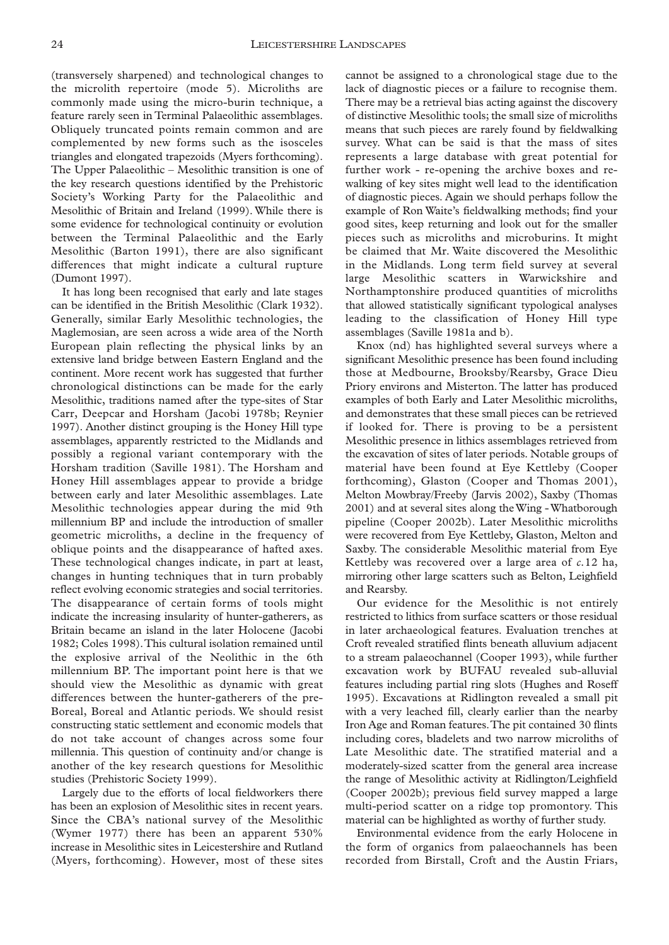(transversely sharpened) and technological changes to the microlith repertoire (mode 5). Microliths are commonly made using the micro-burin technique, a feature rarely seen in Terminal Palaeolithic assemblages. Obliquely truncated points remain common and are complemented by new forms such as the isosceles triangles and elongated trapezoids (Myers forthcoming). The Upper Palaeolithic – Mesolithic transition is one of the key research questions identified by the Prehistoric Society's Working Party for the Palaeolithic and Mesolithic of Britain and Ireland (1999). While there is some evidence for technological continuity or evolution between the Terminal Palaeolithic and the Early Mesolithic (Barton 1991), there are also significant differences that might indicate a cultural rupture (Dumont 1997).

It has long been recognised that early and late stages can be identified in the British Mesolithic (Clark 1932). Generally, similar Early Mesolithic technologies, the Maglemosian, are seen across a wide area of the North European plain reflecting the physical links by an extensive land bridge between Eastern England and the continent. More recent work has suggested that further chronological distinctions can be made for the early Mesolithic, traditions named after the type-sites of Star Carr, Deepcar and Horsham (Jacobi 1978b; Reynier 1997). Another distinct grouping is the Honey Hill type assemblages, apparently restricted to the Midlands and possibly a regional variant contemporary with the Horsham tradition (Saville 1981). The Horsham and Honey Hill assemblages appear to provide a bridge between early and later Mesolithic assemblages. Late Mesolithic technologies appear during the mid 9th millennium BP and include the introduction of smaller geometric microliths, a decline in the frequency of oblique points and the disappearance of hafted axes. These technological changes indicate, in part at least, changes in hunting techniques that in turn probably reflect evolving economic strategies and social territories. The disappearance of certain forms of tools might indicate the increasing insularity of hunter-gatherers, as Britain became an island in the later Holocene (Jacobi 1982; Coles 1998).This cultural isolation remained until the explosive arrival of the Neolithic in the 6th millennium BP. The important point here is that we should view the Mesolithic as dynamic with great differences between the hunter-gatherers of the pre-Boreal, Boreal and Atlantic periods. We should resist constructing static settlement and economic models that do not take account of changes across some four millennia. This question of continuity and/or change is another of the key research questions for Mesolithic studies (Prehistoric Society 1999).

Largely due to the efforts of local fieldworkers there has been an explosion of Mesolithic sites in recent years. Since the CBA's national survey of the Mesolithic (Wymer 1977) there has been an apparent 530% increase in Mesolithic sites in Leicestershire and Rutland (Myers, forthcoming). However, most of these sites

cannot be assigned to a chronological stage due to the lack of diagnostic pieces or a failure to recognise them. There may be a retrieval bias acting against the discovery of distinctive Mesolithic tools; the small size of microliths means that such pieces are rarely found by fieldwalking survey. What can be said is that the mass of sites represents a large database with great potential for further work - re-opening the archive boxes and rewalking of key sites might well lead to the identification of diagnostic pieces. Again we should perhaps follow the example of Ron Waite's fieldwalking methods; find your good sites, keep returning and look out for the smaller pieces such as microliths and microburins. It might be claimed that Mr. Waite discovered the Mesolithic in the Midlands. Long term field survey at several large Mesolithic scatters in Warwickshire and Northamptonshire produced quantities of microliths that allowed statistically significant typological analyses leading to the classification of Honey Hill type assemblages (Saville 1981a and b).

Knox (nd) has highlighted several surveys where a significant Mesolithic presence has been found including those at Medbourne, Brooksby/Rearsby, Grace Dieu Priory environs and Misterton. The latter has produced examples of both Early and Later Mesolithic microliths, and demonstrates that these small pieces can be retrieved if looked for. There is proving to be a persistent Mesolithic presence in lithics assemblages retrieved from the excavation of sites of later periods. Notable groups of material have been found at Eye Kettleby (Cooper forthcoming), Glaston (Cooper and Thomas 2001), Melton Mowbray/Freeby (Jarvis 2002), Saxby (Thomas 2001) and at several sites along the Wing - Whatborough pipeline (Cooper 2002b). Later Mesolithic microliths were recovered from Eye Kettleby, Glaston, Melton and Saxby. The considerable Mesolithic material from Eye Kettleby was recovered over a large area of *c.*12 ha, mirroring other large scatters such as Belton, Leighfield and Rearsby.

Our evidence for the Mesolithic is not entirely restricted to lithics from surface scatters or those residual in later archaeological features. Evaluation trenches at Croft revealed stratified flints beneath alluvium adjacent to a stream palaeochannel (Cooper 1993), while further excavation work by BUFAU revealed sub-alluvial features including partial ring slots (Hughes and Roseff 1995). Excavations at Ridlington revealed a small pit with a very leached fill, clearly earlier than the nearby Iron Age and Roman features.The pit contained 30 flints including cores, bladelets and two narrow microliths of Late Mesolithic date. The stratified material and a moderately-sized scatter from the general area increase the range of Mesolithic activity at Ridlington/Leighfield (Cooper 2002b); previous field survey mapped a large multi-period scatter on a ridge top promontory. This material can be highlighted as worthy of further study.

Environmental evidence from the early Holocene in the form of organics from palaeochannels has been recorded from Birstall, Croft and the Austin Friars,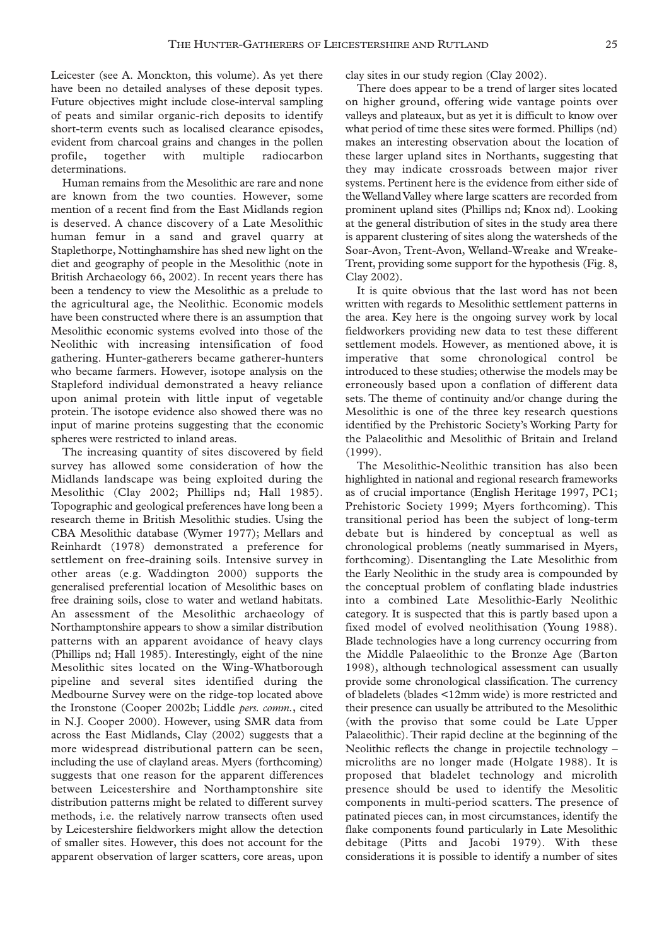Leicester (see A. Monckton, this volume). As yet there have been no detailed analyses of these deposit types. Future objectives might include close-interval sampling of peats and similar organic-rich deposits to identify short-term events such as localised clearance episodes, evident from charcoal grains and changes in the pollen profile, together with multiple radiocarbon determinations.

Human remains from the Mesolithic are rare and none are known from the two counties. However, some mention of a recent find from the East Midlands region is deserved. A chance discovery of a Late Mesolithic human femur in a sand and gravel quarry at Staplethorpe, Nottinghamshire has shed new light on the diet and geography of people in the Mesolithic (note in British Archaeology 66, 2002). In recent years there has been a tendency to view the Mesolithic as a prelude to the agricultural age, the Neolithic. Economic models have been constructed where there is an assumption that Mesolithic economic systems evolved into those of the Neolithic with increasing intensification of food gathering. Hunter-gatherers became gatherer-hunters who became farmers. However, isotope analysis on the Stapleford individual demonstrated a heavy reliance upon animal protein with little input of vegetable protein. The isotope evidence also showed there was no input of marine proteins suggesting that the economic spheres were restricted to inland areas.

The increasing quantity of sites discovered by field survey has allowed some consideration of how the Midlands landscape was being exploited during the Mesolithic (Clay 2002; Phillips nd; Hall 1985). Topographic and geological preferences have long been a research theme in British Mesolithic studies. Using the CBA Mesolithic database (Wymer 1977); Mellars and Reinhardt (1978) demonstrated a preference for settlement on free-draining soils. Intensive survey in other areas (e.g. Waddington 2000) supports the generalised preferential location of Mesolithic bases on free draining soils, close to water and wetland habitats. An assessment of the Mesolithic archaeology of Northamptonshire appears to show a similar distribution patterns with an apparent avoidance of heavy clays (Phillips nd; Hall 1985). Interestingly, eight of the nine Mesolithic sites located on the Wing-Whatborough pipeline and several sites identified during the Medbourne Survey were on the ridge-top located above the Ironstone (Cooper 2002b; Liddle *pers. comm.*, cited in N.J. Cooper 2000). However, using SMR data from across the East Midlands, Clay (2002) suggests that a more widespread distributional pattern can be seen, including the use of clayland areas. Myers (forthcoming) suggests that one reason for the apparent differences between Leicestershire and Northamptonshire site distribution patterns might be related to different survey methods, i.e. the relatively narrow transects often used by Leicestershire fieldworkers might allow the detection of smaller sites. However, this does not account for the apparent observation of larger scatters, core areas, upon

clay sites in our study region (Clay 2002).

There does appear to be a trend of larger sites located on higher ground, offering wide vantage points over valleys and plateaux, but as yet it is difficult to know over what period of time these sites were formed. Phillips (nd) makes an interesting observation about the location of these larger upland sites in Northants, suggesting that they may indicate crossroads between major river systems. Pertinent here is the evidence from either side of the Welland Valley where large scatters are recorded from prominent upland sites (Phillips nd; Knox nd). Looking at the general distribution of sites in the study area there is apparent clustering of sites along the watersheds of the Soar-Avon, Trent-Avon, Welland-Wreake and Wreake-Trent, providing some support for the hypothesis (Fig. 8, Clay 2002).

It is quite obvious that the last word has not been written with regards to Mesolithic settlement patterns in the area. Key here is the ongoing survey work by local fieldworkers providing new data to test these different settlement models. However, as mentioned above, it is imperative that some chronological control be introduced to these studies; otherwise the models may be erroneously based upon a conflation of different data sets. The theme of continuity and/or change during the Mesolithic is one of the three key research questions identified by the Prehistoric Society's Working Party for the Palaeolithic and Mesolithic of Britain and Ireland (1999).

The Mesolithic-Neolithic transition has also been highlighted in national and regional research frameworks as of crucial importance (English Heritage 1997, PC1; Prehistoric Society 1999; Myers forthcoming). This transitional period has been the subject of long-term debate but is hindered by conceptual as well as chronological problems (neatly summarised in Myers, forthcoming). Disentangling the Late Mesolithic from the Early Neolithic in the study area is compounded by the conceptual problem of conflating blade industries into a combined Late Mesolithic-Early Neolithic category. It is suspected that this is partly based upon a fixed model of evolved neolithisation (Young 1988). Blade technologies have a long currency occurring from the Middle Palaeolithic to the Bronze Age (Barton 1998), although technological assessment can usually provide some chronological classification. The currency of bladelets (blades <12mm wide) is more restricted and their presence can usually be attributed to the Mesolithic (with the proviso that some could be Late Upper Palaeolithic). Their rapid decline at the beginning of the Neolithic reflects the change in projectile technology – microliths are no longer made (Holgate 1988). It is proposed that bladelet technology and microlith presence should be used to identify the Mesolitic components in multi-period scatters. The presence of patinated pieces can, in most circumstances, identify the flake components found particularly in Late Mesolithic debitage (Pitts and Jacobi 1979). With these considerations it is possible to identify a number of sites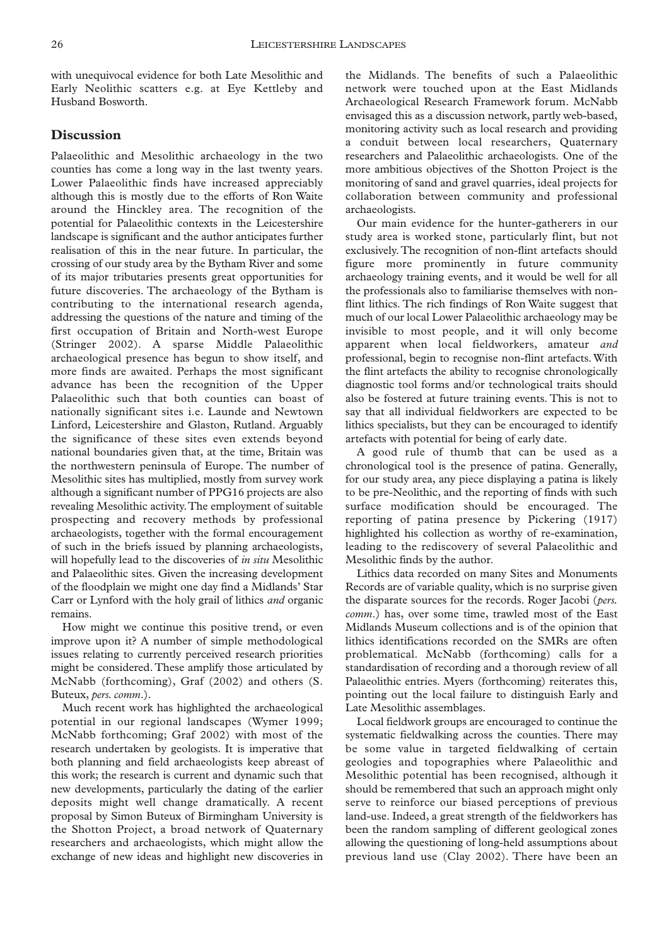with unequivocal evidence for both Late Mesolithic and Early Neolithic scatters e.g. at Eye Kettleby and Husband Bosworth.

## **Discussion**

Palaeolithic and Mesolithic archaeology in the two counties has come a long way in the last twenty years. Lower Palaeolithic finds have increased appreciably although this is mostly due to the efforts of Ron Waite around the Hinckley area. The recognition of the potential for Palaeolithic contexts in the Leicestershire landscape is significant and the author anticipates further realisation of this in the near future. In particular, the crossing of our study area by the Bytham River and some of its major tributaries presents great opportunities for future discoveries. The archaeology of the Bytham is contributing to the international research agenda, addressing the questions of the nature and timing of the first occupation of Britain and North-west Europe (Stringer 2002). A sparse Middle Palaeolithic archaeological presence has begun to show itself, and more finds are awaited. Perhaps the most significant advance has been the recognition of the Upper Palaeolithic such that both counties can boast of nationally significant sites i.e. Launde and Newtown Linford, Leicestershire and Glaston, Rutland. Arguably the significance of these sites even extends beyond national boundaries given that, at the time, Britain was the northwestern peninsula of Europe. The number of Mesolithic sites has multiplied, mostly from survey work although a significant number of PPG16 projects are also revealing Mesolithic activity.The employment of suitable prospecting and recovery methods by professional archaeologists, together with the formal encouragement of such in the briefs issued by planning archaeologists, will hopefully lead to the discoveries of *in situ* Mesolithic and Palaeolithic sites. Given the increasing development of the floodplain we might one day find a Midlands' Star Carr or Lynford with the holy grail of lithics *and* organic remains.

How might we continue this positive trend, or even improve upon it? A number of simple methodological issues relating to currently perceived research priorities might be considered. These amplify those articulated by McNabb (forthcoming), Graf (2002) and others (S. Buteux, *pers. comm*.).

Much recent work has highlighted the archaeological potential in our regional landscapes (Wymer 1999; McNabb forthcoming; Graf 2002) with most of the research undertaken by geologists. It is imperative that both planning and field archaeologists keep abreast of this work; the research is current and dynamic such that new developments, particularly the dating of the earlier deposits might well change dramatically. A recent proposal by Simon Buteux of Birmingham University is the Shotton Project, a broad network of Quaternary researchers and archaeologists, which might allow the exchange of new ideas and highlight new discoveries in

the Midlands. The benefits of such a Palaeolithic network were touched upon at the East Midlands Archaeological Research Framework forum. McNabb envisaged this as a discussion network, partly web-based, monitoring activity such as local research and providing a conduit between local researchers, Quaternary researchers and Palaeolithic archaeologists. One of the more ambitious objectives of the Shotton Project is the monitoring of sand and gravel quarries, ideal projects for collaboration between community and professional archaeologists.

Our main evidence for the hunter-gatherers in our study area is worked stone, particularly flint, but not exclusively. The recognition of non-flint artefacts should figure more prominently in future community archaeology training events, and it would be well for all the professionals also to familiarise themselves with nonflint lithics. The rich findings of Ron Waite suggest that much of our local Lower Palaeolithic archaeology may be invisible to most people, and it will only become apparent when local fieldworkers, amateur *and* professional, begin to recognise non-flint artefacts. With the flint artefacts the ability to recognise chronologically diagnostic tool forms and/or technological traits should also be fostered at future training events. This is not to say that all individual fieldworkers are expected to be lithics specialists, but they can be encouraged to identify artefacts with potential for being of early date.

A good rule of thumb that can be used as a chronological tool is the presence of patina. Generally, for our study area, any piece displaying a patina is likely to be pre-Neolithic, and the reporting of finds with such surface modification should be encouraged. The reporting of patina presence by Pickering (1917) highlighted his collection as worthy of re-examination, leading to the rediscovery of several Palaeolithic and Mesolithic finds by the author.

Lithics data recorded on many Sites and Monuments Records are of variable quality, which is no surprise given the disparate sources for the records. Roger Jacobi (*pers. comm*.) has, over some time, trawled most of the East Midlands Museum collections and is of the opinion that lithics identifications recorded on the SMRs are often problematical. McNabb (forthcoming) calls for a standardisation of recording and a thorough review of all Palaeolithic entries. Myers (forthcoming) reiterates this, pointing out the local failure to distinguish Early and Late Mesolithic assemblages.

Local fieldwork groups are encouraged to continue the systematic fieldwalking across the counties. There may be some value in targeted fieldwalking of certain geologies and topographies where Palaeolithic and Mesolithic potential has been recognised, although it should be remembered that such an approach might only serve to reinforce our biased perceptions of previous land-use. Indeed, a great strength of the fieldworkers has been the random sampling of different geological zones allowing the questioning of long-held assumptions about previous land use (Clay 2002). There have been an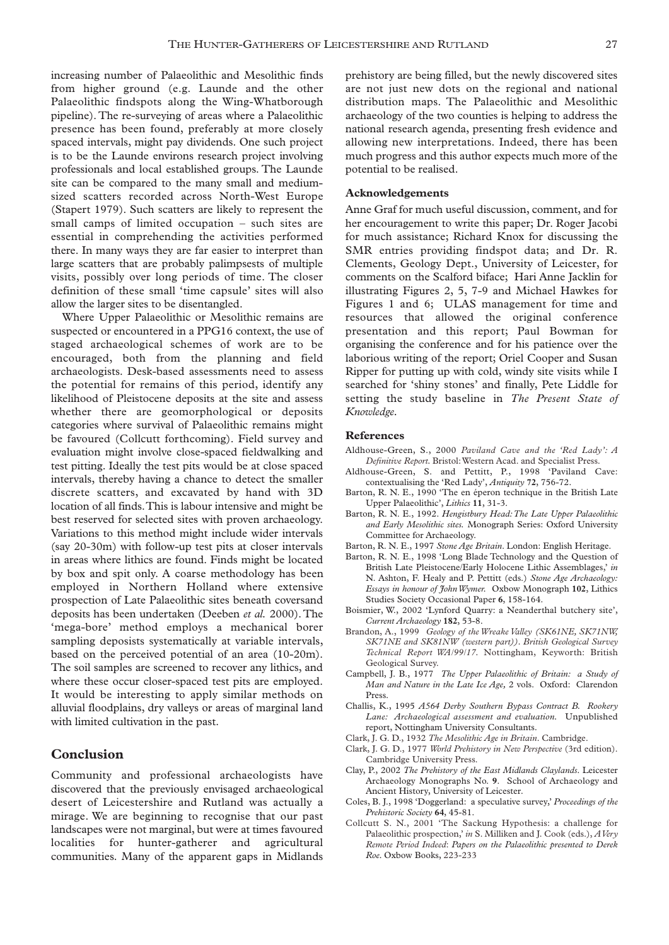increasing number of Palaeolithic and Mesolithic finds from higher ground (e.g. Launde and the other Palaeolithic findspots along the Wing-Whatborough pipeline). The re-surveying of areas where a Palaeolithic presence has been found, preferably at more closely spaced intervals, might pay dividends. One such project is to be the Launde environs research project involving professionals and local established groups. The Launde site can be compared to the many small and mediumsized scatters recorded across North-West Europe (Stapert 1979). Such scatters are likely to represent the small camps of limited occupation – such sites are essential in comprehending the activities performed there. In many ways they are far easier to interpret than large scatters that are probably palimpsests of multiple visits, possibly over long periods of time. The closer definition of these small 'time capsule' sites will also allow the larger sites to be disentangled.

Where Upper Palaeolithic or Mesolithic remains are suspected or encountered in a PPG16 context, the use of staged archaeological schemes of work are to be encouraged, both from the planning and field archaeologists. Desk-based assessments need to assess the potential for remains of this period, identify any likelihood of Pleistocene deposits at the site and assess whether there are geomorphological or deposits categories where survival of Palaeolithic remains might be favoured (Collcutt forthcoming). Field survey and evaluation might involve close-spaced fieldwalking and test pitting. Ideally the test pits would be at close spaced intervals, thereby having a chance to detect the smaller discrete scatters, and excavated by hand with 3D location of all finds.This is labour intensive and might be best reserved for selected sites with proven archaeology. Variations to this method might include wider intervals (say 20-30m) with follow-up test pits at closer intervals in areas where lithics are found. Finds might be located by box and spit only. A coarse methodology has been employed in Northern Holland where extensive prospection of Late Palaeolithic sites beneath coversand deposits has been undertaken (Deeben *et al.* 2000). The 'mega-bore' method employs a mechanical borer sampling deposists systematically at variable intervals, based on the perceived potential of an area (10-20m). The soil samples are screened to recover any lithics, and where these occur closer-spaced test pits are employed. It would be interesting to apply similar methods on alluvial floodplains, dry valleys or areas of marginal land with limited cultivation in the past.

# **Conclusion**

Community and professional archaeologists have discovered that the previously envisaged archaeological desert of Leicestershire and Rutland was actually a mirage. We are beginning to recognise that our past landscapes were not marginal, but were at times favoured localities for hunter-gatherer and agricultural communities. Many of the apparent gaps in Midlands

prehistory are being filled, but the newly discovered sites are not just new dots on the regional and national distribution maps. The Palaeolithic and Mesolithic archaeology of the two counties is helping to address the national research agenda, presenting fresh evidence and allowing new interpretations. Indeed, there has been much progress and this author expects much more of the potential to be realised.

#### **Acknowledgements**

Anne Graf for much useful discussion, comment, and for her encouragement to write this paper; Dr. Roger Jacobi for much assistance; Richard Knox for discussing the SMR entries providing findspot data; and Dr. R. Clements, Geology Dept., University of Leicester, for comments on the Scalford biface; Hari Anne Jacklin for illustrating Figures 2, 5, 7-9 and Michael Hawkes for Figures 1 and 6; ULAS management for time and resources that allowed the original conference presentation and this report; Paul Bowman for organising the conference and for his patience over the laborious writing of the report; Oriel Cooper and Susan Ripper for putting up with cold, windy site visits while I searched for 'shiny stones' and finally, Pete Liddle for setting the study baseline in *The Present State of Knowledge.*

#### **References**

- Aldhouse-Green, S., 2000 *Paviland Cave and the 'Red Lady': A Definitive Report.* Bristol:Western Acad. and Specialist Press.
- Aldhouse-Green, S. and Pettitt, P., 1998 'Paviland Cave: contextualising the 'Red Lady', *Antiquity* **72**, 756-72.
- Barton, R. N. E., 1990 'The en éperon technique in the British Late Upper Palaeolithic', *Lithics* **11**, 31-3.
- Barton, R. N. E., 1992. *Hengistbury Head:The Late Upper Palaeolithic and Early Mesolithic sites.* Monograph Series: Oxford University Committee for Archaeology.
- Barton, R. N. E., 1997 *Stone Age Britain*. London: English Heritage.
- Barton, R. N. E., 1998 'Long Blade Technology and the Question of British Late Pleistocene/Early Holocene Lithic Assemblages,' *in* N. Ashton, F. Healy and P. Pettitt (eds.) *Stone Age Archaeology: Essays in honour of John Wymer.* Oxbow Monograph **102**, Lithics Studies Society Occasional Paper **6**, 158-164.
- Boismier, W., 2002 'Lynford Quarry: a Neanderthal butchery site', *Current Archaeology* **182**, 53-8.
- Brandon, A., 1999 *Geology of the Wreake Valley (SK61NE, SK71NW, SK71NE and SK81NW (western part)). British Geological Survey Technical Report WA/99/17.* Nottingham, Keyworth: British Geological Survey.
- Campbell, J. B., 1977 *The Upper Palaeolithic of Britain: a Study of Man and Nature in the Late Ice Age,* 2 vols. Oxford: Clarendon Press.
- Challis, K., 1995 *A564 Derby Southern Bypass Contract B. Rookery Lane: Archaeological assessment and evaluation.* Unpublished report, Nottingham University Consultants.
- Clark, J. G. D., 1932 *The Mesolithic Age in Britain*. Cambridge.
- Clark, J. G. D., 1977 *World Prehistory in New Perspective* (3rd edition). Cambridge University Press.
- Clay, P., 2002 *The Prehistory of the East Midlands Claylands*. Leicester Archaeology Monographs No. **9**. School of Archaeology and Ancient History, University of Leicester.
- Coles, B. J., 1998 'Doggerland: a speculative survey,' *Proceedings of the Prehistoric Society* **64**, 45-81.
- Collcutt S. N., 2001 'The Sackung Hypothesis: a challenge for Palaeolithic prospection,' *in* S. Milliken and J. Cook (eds.), *A Very Remote Period Indeed*: *Papers on the Palaeolithic presented to Derek Roe.* Oxbow Books, 223-233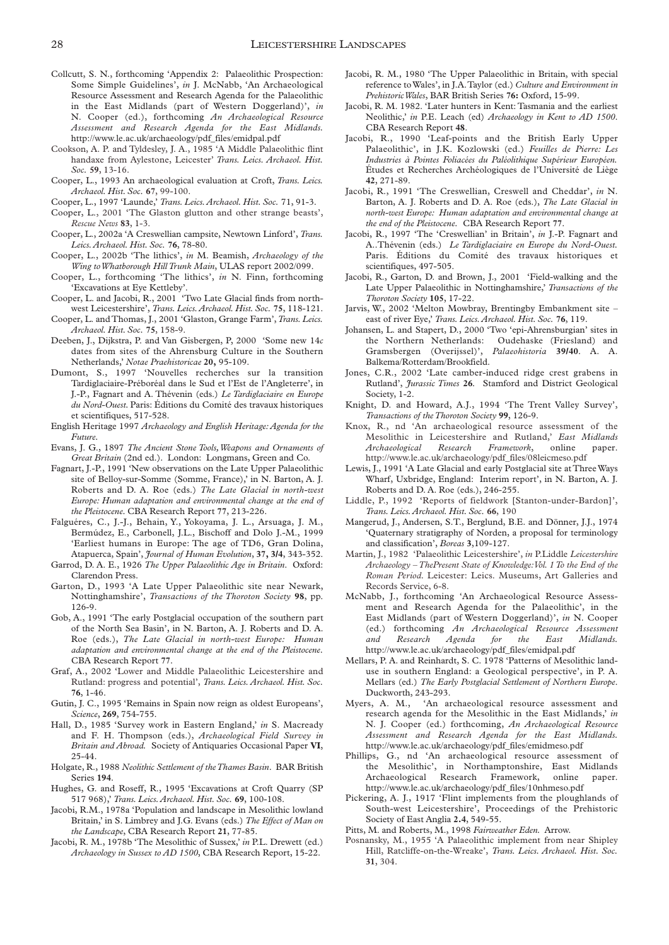- Collcutt, S. N., forthcoming 'Appendix 2: Palaeolithic Prospection: Some Simple Guidelines', *in* J. McNabb, 'An Archaeological Resource Assessment and Research Agenda for the Palaeolithic in the East Midlands (part of Western Doggerland)', *in* N. Cooper (ed.), forthcoming *An Archaeological Resource Assessment and Research Agenda for the East Midlands.* http://www.le.ac.uk/archaeology/pdf\_files/emidpal.pdf
- Cookson, A. P. and Tyldesley, J. A., 1985 'A Middle Palaeolithic flint handaxe from Aylestone, Leicester' *Trans. Leics. Archaeol. Hist. Soc.* **59**, 13-16.
- Cooper, L., 1993 An archaeological evaluation at Croft, *Trans. Leics. Archaeol. Hist. Soc.* **67**, 99-100.
- Cooper, L., 1997 'Launde,' *Trans. Leics.Archaeol. Hist. Soc.* 71, 91-3.
- Cooper, L., 2001 'The Glaston glutton and other strange beasts', *Rescue News* **83**, 1-3.
- Cooper, L., 2002a 'A Creswellian campsite, Newtown Linford', *Trans. Leics.Archaeol. Hist. Soc.* **76**, 78-80.
- Cooper, L., 2002b 'The lithics', *in* M. Beamish, *Archaeology of the Wing to Whatborough Hill Trunk Main*, ULAS report 2002/099.
- Cooper, L., forthcoming 'The lithics', *in* N. Finn, forthcoming 'Excavations at Eye Kettleby'.
- Cooper, L. and Jacobi, R., 2001 'Two Late Glacial finds from northwest Leicestershire', *Trans. Leics.Archaeol. Hist. Soc.* **75**, 118-121.
- Cooper, L. and Thomas, J., 2001 'Glaston, Grange Farm',*Trans. Leics. Archaeol. Hist. Soc.* **75**, 158-9.
- Deeben, J., Dijkstra, P. and Van Gisbergen, P, 2000 'Some new 14*c* dates from sites of the Ahrensburg Culture in the Southern Netherlands,' *Notae Praehistoricae* **20,** 95-109.
- Dumont, S., 1997 'Nouvelles recherches sur la transition Tardiglaciaire-Préboréal dans le Sud et l'Est de l'Angleterre', in J.-P., Fagnart and A. Thévenin (eds.) *Le Tardiglaciaire en Europe du Nord-Ouest.* Paris: Éditions du Comité des travaux historiques et scientifiques, 517-528.
- English Heritage 1997 *Archaeology and English Heritage:Agenda for the Future.*
- Evans, J. G., 1897 *The Ancient Stone Tools,Weapons and Ornaments of Great Britain* (2nd ed.). London: Longmans, Green and Co.
- Fagnart, J.-P., 1991 'New observations on the Late Upper Palaeolithic site of Belloy-sur-Somme (Somme, France),' in N. Barton, A. J. Roberts and D. A. Roe (eds.) *The Late Glacial in north-west Europe: Human adaptation and environmental change at the end of the Pleistocene.* CBA Research Report **77**, 213-226.
- Falguéres, C., J.-J., Behain, Y., Yokoyama, J. L., Arsuaga, J. M., Bermúdez, E., Carbonell, J.L., Bischoff and Dolo J.-M., 1999 'Earliest humans in Europe: The age of TD6, Gran Dolina, Atapuerca, Spain', *Journal of Human Evolution*, **37, 3/4**, 343-352.
- Garrod, D. A. E., 1926 *The Upper Palaeolithic Age in Britain*. Oxford: Clarendon Press.
- Garton, D., 1993 'A Late Upper Palaeolithic site near Newark, Nottinghamshire', *Transactions of the Thoroton Society* **98**, pp. 126-9.
- Gob, A., 1991 'The early Postglacial occupation of the southern part of the North Sea Basin', in N. Barton, A. J. Roberts and D. A. Roe (eds.), *The Late Glacial in north-west Europe: Human adaptation and environmental change at the end of the Pleistocene.* CBA Research Report **77**.
- Graf, A., 2002 'Lower and Middle Palaeolithic Leicestershire and Rutland: progress and potential', *Trans. Leics. Archaeol. Hist. Soc.* **76**, 1-46.
- Gutin, J. C., 1995 'Remains in Spain now reign as oldest Europeans', *Science*, **269**, 754-755.
- Hall, D., 1985 'Survey work in Eastern England,' *in* S. Macready and F. H. Thompson (eds.), *Archaeological Field Survey in Britain and Abroad.* Society of Antiquaries Occasional Paper **VI**, 25-44.
- Holgate, R., 1988 *Neolithic Settlement of the Thames Basin*. BAR British Series **194**.
- Hughes, G. and Roseff, R., 1995 'Excavations at Croft Quarry (SP 517 968),' *Trans. Leics.Archaeol. Hist. Soc.* **69**, 100-108.
- Jacobi, R.M., 1978a 'Population and landscape in Mesolithic lowland Britain,' in S. Limbrey and J.G. Evans (eds.) *The Effect of Man on the Landscape*, CBA Research Report **21**, 77-85.
- Jacobi, R. M., 1978b 'The Mesolithic of Sussex,' *in* P.L. Drewett (ed.) *Archaeology in Sussex to AD 1500*, CBA Research Report, 15-22.
- Jacobi, R. M., 1980 'The Upper Palaeolithic in Britain, with special reference to Wales', in J.A.Taylor (ed.) *Culture and Environment in Prehistoric Wales*, BAR British Series **76:** Oxford, 15-99.
- Jacobi, R. M. 1982. 'Later hunters in Kent: Tasmania and the earliest Neolithic,' *in* P.E. Leach (ed) *Archaeology in Kent to AD 1500*. CBA Research Report **48**.
- Jacobi, R., 1990 'Leaf-points and the British Early Upper Palaeolithic', in J.K. Kozlowski (ed.) *Feuilles de Pierre: Les Industries à Pointes Foliacées du Paléolithique Supérieur Européen.* Études et Recherches Archéologiques de l'Université de Liège **42**, 271-89.
- Jacobi, R., 1991 'The Creswellian, Creswell and Cheddar', *in* N. Barton, A. J. Roberts and D. A. Roe (eds.), *The Late Glacial in north-west Europe: Human adaptation and environmental change at the end of the Pleistocene.* CBA Research Report **77**.
- Jacobi, R., 1997 'The 'Creswellian' in Britain', *in* J.-P. Fagnart and A..Thévenin (eds.) *Le Tardiglaciaire en Europe du Nord-Ouest.* Paris. Éditions du Comité des travaux historiques et scientifiques, 497-505.
- Jacobi, R., Garton, D. and Brown, J., 2001 'Field-walking and the Late Upper Palaeolithic in Nottinghamshire,' *Transactions of the Thoroton Society* **105**, 17-22.
- Jarvis, W., 2002 'Melton Mowbray, Brentingby Embankment site east of river Eye,' *Trans. Leics.Archaeol. Hist. Soc.* **76**, 119.
- Johansen, L. and Stapert, D., 2000 'Two 'epi-Ahrensburgian' sites in the Northern Netherlands: Oudehaske (Friesland) and Gramsbergen (Overijssel)', *Palaeohistoria* **39/40**. A. A. Balkema/Rotterdam/Brookfield.
- Jones, C.R., 2002 'Late camber-induced ridge crest grabens in Rutland', *Jurassic Times* **26***.* Stamford and District Geological Society, 1-2.
- Knight, D. and Howard, A.J., 1994 'The Trent Valley Survey', *Transactions of the Thoroton Society* **99**, 126-9.
- Knox, R., nd 'An archaeological resource assessment of the Mesolithic in Leicestershire and Rutland,' *East Midlands Archaeological Research Framework*, online paper. http://www.le.ac.uk/archaeology/pdf\_files/08leicmeso.pdf
- Lewis, J., 1991 'A Late Glacial and early Postglacial site at Three Ways Wharf, Uxbridge, England: Interim report', in N. Barton, A. J. Roberts and D. A. Roe (eds.), 246-255.
- Liddle, P., 1992 'Reports of fieldwork [Stanton-under-Bardon]', *Trans. Leics.Archaeol. Hist. Soc.* **66**, 190
- Mangerud, J., Andersen, S.T., Berglund, B.E. and Dönner, J.J., 1974 'Quaternary stratigraphy of Norden, a proposal for terminology and classification', *Boreas* **3**,109-127.
- Martin, J., 1982 'Palaeolithic Leicestershire', *in* P.Liddle *Leicestershire Archaeology – ThePresent State of Knowledge:Vol. 1 To the End of the Roman Period.* Leicester: Leics. Museums, Art Galleries and Records Service, 6-8.
- McNabb, J., forthcoming 'An Archaeological Resource Assessment and Research Agenda for the Palaeolithic', in the East Midlands (part of Western Doggerland)', *in* N. Cooper (ed.) forthcoming *An Archaeological Resource Assessment and Research Agenda for the East Midlands.* http://www.le.ac.uk/archaeology/pdf\_files/emidpal.pdf
- Mellars, P. A. and Reinhardt, S. C. 1978 'Patterns of Mesolithic landuse in southern England: a Geological perspective', in P. A. Mellars (ed.) *The Early Postglacial Settlement of Northern Europe*. Duckworth, 243-293.
- Myers, A. M., 'An archaeological resource assessment and research agenda for the Mesolithic in the East Midlands,' *in* N. J. Cooper (ed.) forthcoming, *An Archaeological Resource Assessment and Research Agenda for the East Midlands.* http://www.le.ac.uk/archaeology/pdf\_files/emidmeso.pdf
- Phillips, G., nd 'An archaeological resource assessment of the Mesolithic', in Northamptonshire, East Midlands Archaeological Research Framework, online paper. http://www.le.ac.uk/archaeology/pdf\_files/10nhmeso.pdf
- Pickering, A. J., 1917 'Flint implements from the ploughlands of South-west Leicestershire', Proceedings of the Prehistoric Society of East Anglia **2.4**, 549-55.
- Pitts, M. and Roberts, M., 1998 *Fairweather Eden.* Arrow.
- Posnansky, M., 1955 'A Palaeolithic implement from near Shipley Hill, Ratcliffe-on-the-Wreake', *Trans. Leics. Archaeol. Hist. Soc.* **31**, 304.